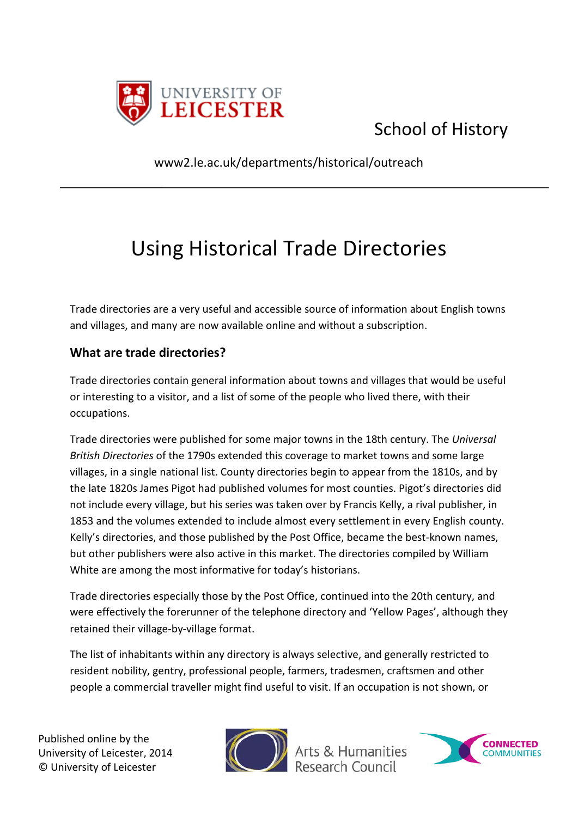

## School of History

www2.le.ac.uk/departments/historical/outreach

## Using Historical Trade Directories

Trade directories are a very useful and accessible source of information about English towns and villages, and many are now available online and without a subscription.

## **What are trade directories?**

Trade directories contain general information about towns and villages that would be useful or interesting to a visitor, and a list of some of the people who lived there, with their occupations.

Trade directories were published for some major towns in the 18th century. The *Universal British Directories* of the 1790s extended this coverage to market towns and some large villages, in a single national list. County directories begin to appear from the 1810s, and by the late 1820s James Pigot had published volumes for most counties. Pigot's directories did not include every village, but his series was taken over by Francis Kelly, a rival publisher, in 1853 and the volumes extended to include almost every settlement in every English county. Kelly's directories, and those published by the Post Office, became the best-known names, but other publishers were also active in this market. The directories compiled by William White are among the most informative for today's historians.

Trade directories especially those by the Post Office, continued into the 20th century, and were effectively the forerunner of the telephone directory and 'Yellow Pages', although they retained their village-by-village format.

The list of inhabitants within any directory is always selective, and generally restricted to resident nobility, gentry, professional people, farmers, tradesmen, craftsmen and other people a commercial traveller might find useful to visit. If an occupation is not shown, or

Published online by the University of Leicester, 2014 © University of Leicester



Arts & Humanities